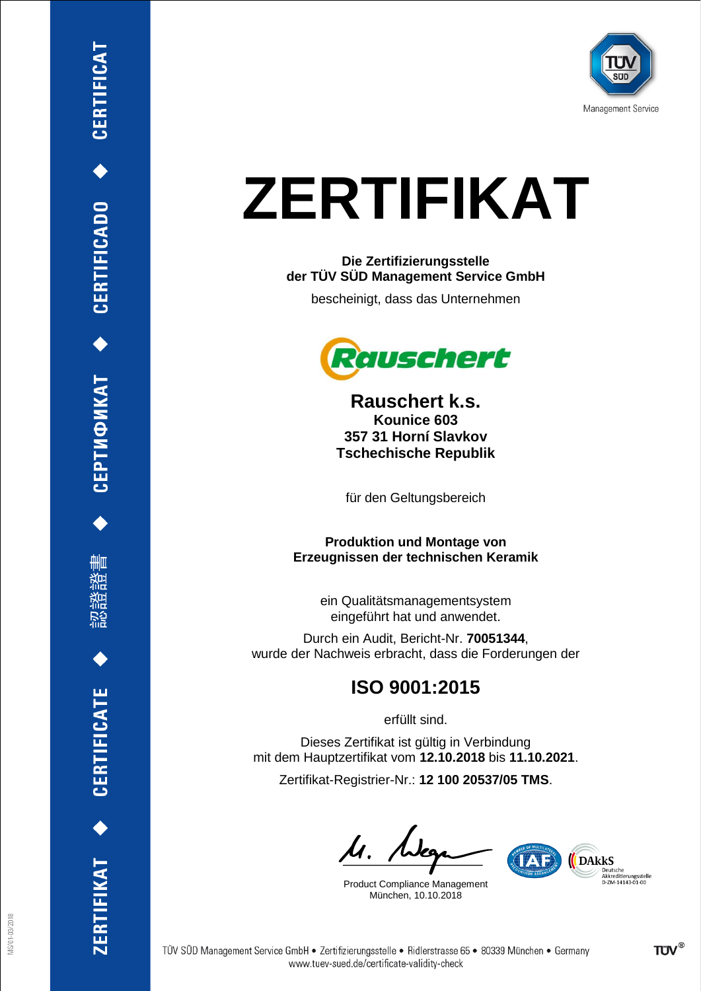

## **ZERTIFIKAT**

#### **Die Zertifizierungsstelle der TÜV SÜD Management Service GmbH**

bescheinigt, dass das Unternehmen



**Rauschert k.s. Kounice 603 357 31 Horní Slavkov Tschechische Republik**

für den Geltungsbereich

**Produktion und Montage von Erzeugnissen der technischen Keramik**

ein Qualitätsmanagementsystem eingeführt hat und anwendet.

Durch ein Audit, Bericht-Nr. **70051344**, wurde der Nachweis erbracht, dass die Forderungen der

### **ISO 9001:2015**

erfüllt sind.

Dieses Zertifikat ist gültig in Verbindung mit dem Hauptzertifikat vom **12.10.2018** bis **11.10.2021**.

Zertifikat-Registrier-Nr.: **12 100 20537/05 TMS**.

ls. Nee

Product Compliance Management München, 10.10.2018

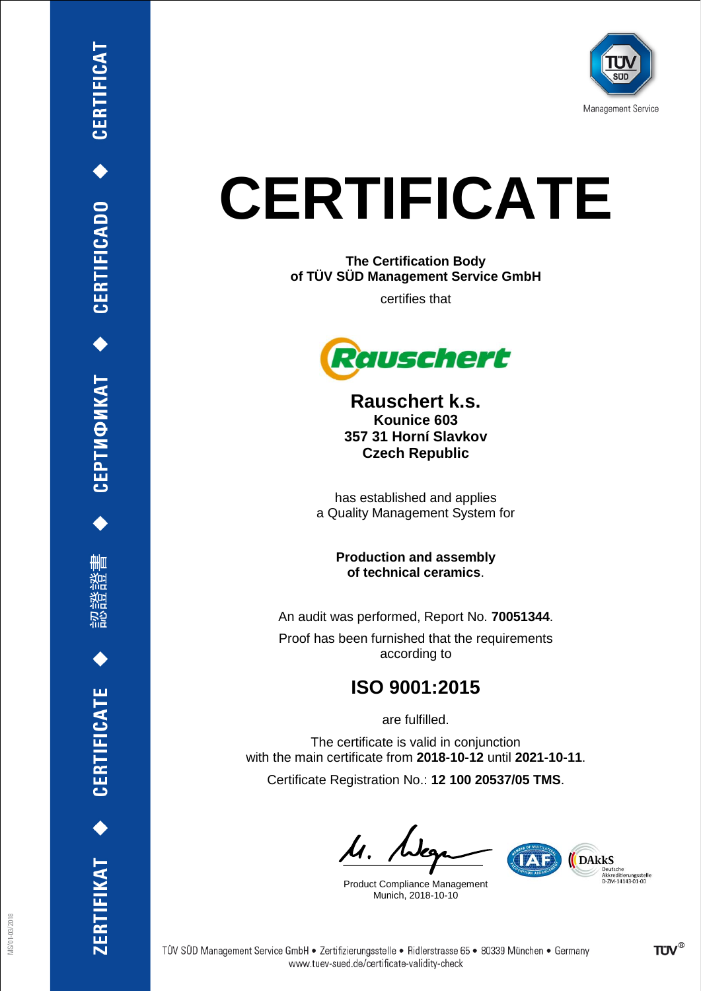

# **CERTIFICATE**

**The Certification Body of TÜV SÜD Management Service GmbH**

certifies that



**Rauschert k.s. Kounice 603 357 31 Horní Slavkov Czech Republic**

has established and applies a Quality Management System for

> **Production and assembly of technical ceramics**.

An audit was performed, Report No. **70051344**.

Proof has been furnished that the requirements according to

### **ISO 9001:2015**

are fulfilled.

The certificate is valid in conjunction with the main certificate from **2018-10-12** until **2021-10-11**. Certificate Registration No.: **12 100 20537/05 TMS**.

ls. Nee

Product Compliance Management Munich, 2018-10-10

www.tuev-sued.de/certificate-validity-check



ZERTIFIKAT <>
CERTIFICATE